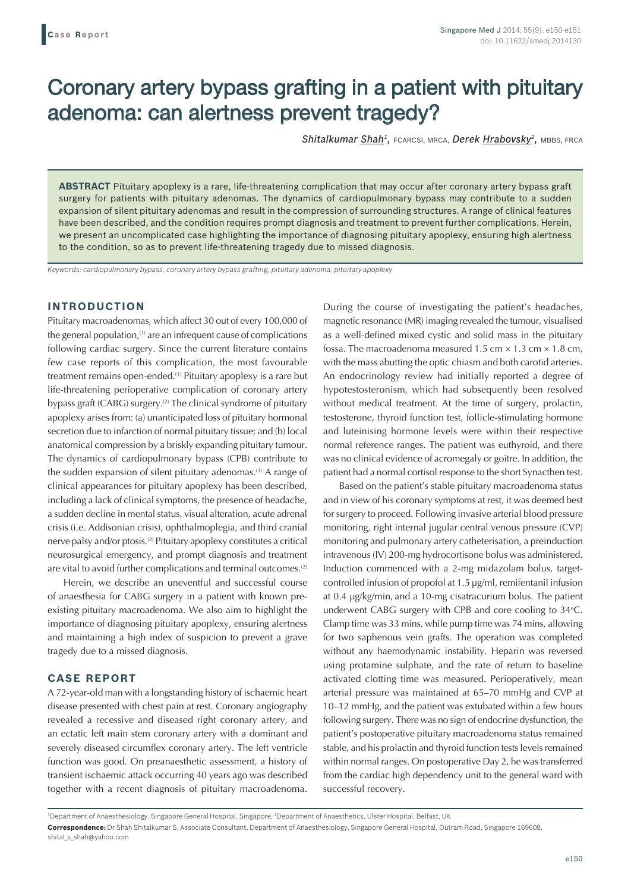# Coronary artery bypass grafting in a patient with pituitary adenoma: can alertness prevent tragedy?

*Shitalkumar Shah1,* FCARCSI, MRCA, *Derek Hrabovsky2,* MBBS, FRCA

**ABSTRACT** Pituitary apoplexy is a rare, life-threatening complication that may occur after coronary artery bypass graft surgery for patients with pituitary adenomas. The dynamics of cardiopulmonary bypass may contribute to a sudden expansion of silent pituitary adenomas and result in the compression of surrounding structures. A range of clinical features have been described, and the condition requires prompt diagnosis and treatment to prevent further complications. Herein, we present an uncomplicated case highlighting the importance of diagnosing pituitary apoplexy, ensuring high alertness to the condition, so as to prevent life-threatening tragedy due to missed diagnosis.

*Keywords: cardiopulmonary bypass, coronary artery bypass grafting, pituitary adenoma, pituitary apoplexy*

#### **INTRODUCTION**

Pituitary macroadenomas, which affect 30 out of every 100,000 of the general population, $(1)$  are an infrequent cause of complications following cardiac surgery. Since the current literature contains few case reports of this complication, the most favourable treatment remains open-ended.<sup>(1)</sup> Pituitary apoplexy is a rare but life-threatening perioperative complication of coronary artery bypass graft (CABG) surgery.<sup>(2)</sup> The clinical syndrome of pituitary apoplexy arises from: (a) unanticipated loss of pituitary hormonal secretion due to infarction of normal pituitary tissue; and (b) local anatomical compression by a briskly expanding pituitary tumour. The dynamics of cardiopulmonary bypass (CPB) contribute to the sudden expansion of silent pituitary adenomas.<sup>(3)</sup> A range of clinical appearances for pituitary apoplexy has been described, including a lack of clinical symptoms, the presence of headache, a sudden decline in mental status, visual alteration, acute adrenal crisis (i.e. Addisonian crisis), ophthalmoplegia, and third cranial nerve palsy and/or ptosis.(2) Pituitary apoplexy constitutes a critical neurosurgical emergency, and prompt diagnosis and treatment are vital to avoid further complications and terminal outcomes.(2)

Herein, we describe an uneventful and successful course of anaesthesia for CABG surgery in a patient with known preexisting pituitary macroadenoma. We also aim to highlight the importance of diagnosing pituitary apoplexy, ensuring alertness and maintaining a high index of suspicion to prevent a grave tragedy due to a missed diagnosis.

## **CASE REPORT**

A 72-year-old man with a longstanding history of ischaemic heart disease presented with chest pain at rest. Coronary angiography revealed a recessive and diseased right coronary artery, and an ectatic left main stem coronary artery with a dominant and severely diseased circumflex coronary artery. The left ventricle function was good. On preanaesthetic assessment, a history of transient ischaemic attack occurring 40 years ago was described together with a recent diagnosis of pituitary macroadenoma. During the course of investigating the patient's headaches, magnetic resonance (MR) imaging revealed the tumour, visualised as a well-defined mixed cystic and solid mass in the pituitary fossa. The macroadenoma measured 1.5 cm  $\times$  1.3 cm  $\times$  1.8 cm, with the mass abutting the optic chiasm and both carotid arteries. An endocrinology review had initially reported a degree of hypotestosteronism, which had subsequently been resolved without medical treatment. At the time of surgery, prolactin, testosterone, thyroid function test, follicle-stimulating hormone and luteinising hormone levels were within their respective normal reference ranges. The patient was euthyroid, and there was no clinical evidence of acromegaly or goitre. In addition, the patient had a normal cortisol response to the short Synacthen test.

Based on the patient's stable pituitary macroadenoma status and in view of his coronary symptoms at rest, it was deemed best for surgery to proceed. Following invasive arterial blood pressure monitoring, right internal jugular central venous pressure (CVP) monitoring and pulmonary artery catheterisation, a preinduction intravenous (IV) 200-mg hydrocortisone bolus was administered. Induction commenced with a 2-mg midazolam bolus, targetcontrolled infusion of propofol at 1.5 μg/ml, remifentanil infusion at 0.4 μg/kg/min, and a 10-mg cisatracurium bolus. The patient underwent CABG surgery with CPB and core cooling to  $34^{\circ}$ C. Clamp time was 33 mins, while pump time was 74 mins, allowing for two saphenous vein grafts. The operation was completed without any haemodynamic instability. Heparin was reversed using protamine sulphate, and the rate of return to baseline activated clotting time was measured. Perioperatively, mean arterial pressure was maintained at 65–70 mmHg and CVP at 10–12 mmHg, and the patient was extubated within a few hours following surgery. There was no sign of endocrine dysfunction, the patient's postoperative pituitary macroadenoma status remained stable, and his prolactin and thyroid function tests levels remained within normal ranges. On postoperative Day 2, he was transferred from the cardiac high dependency unit to the general ward with successful recovery.

<sup>&</sup>lt;sup>1</sup>Department of Anaesthesiology, Singapore General Hospital, Singapore, <sup>2</sup>Department of Anaesthetics, Ulster Hospital, Belfast, UK **Correspondence:** Dr Shah Shitalkumar S, Associate Consultant, Department of Anaesthesiology, Singapore General Hospital, Outram Road, Singapore 169608. shital\_s\_shah@yahoo.com